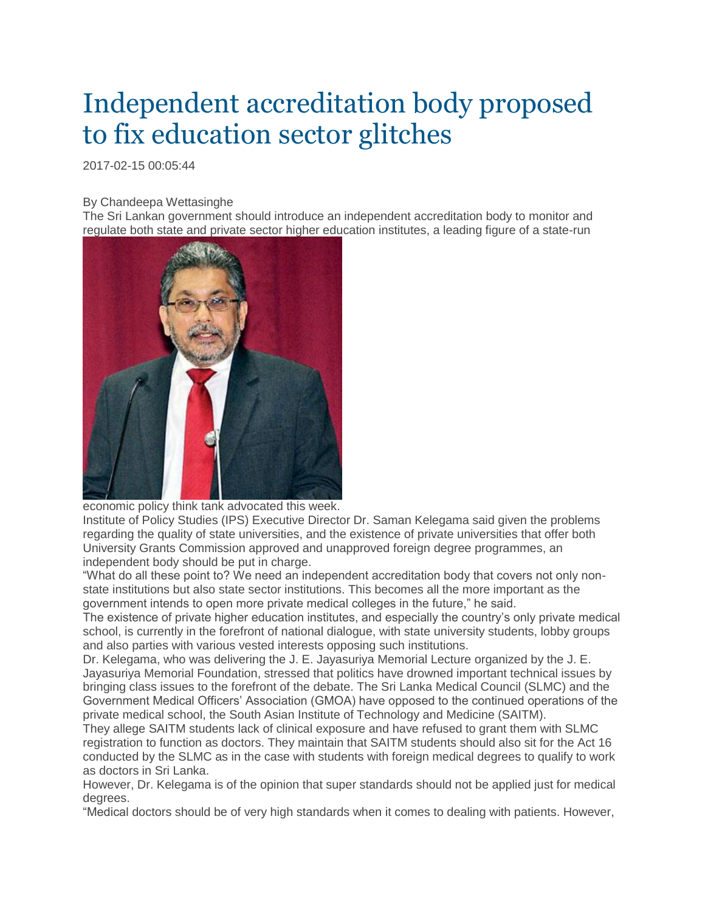## Independent accreditation body proposed to fix education sector glitches

2017-02-15 00:05:44

## By Chandeepa Wettasinghe

The Sri Lankan government should introduce an independent accreditation body to monitor and regulate both state and private sector higher education institutes, a leading figure of a state-run



economic policy think tank advocated this week.

Institute of Policy Studies (IPS) Executive Director Dr. Saman Kelegama said given the problems regarding the quality of state universities, and the existence of private universities that offer both University Grants Commission approved and unapproved foreign degree programmes, an independent body should be put in charge.

"What do all these point to? We need an independent accreditation body that covers not only nonstate institutions but also state sector institutions. This becomes all the more important as the government intends to open more private medical colleges in the future," he said.

The existence of private higher education institutes, and especially the country's only private medical school, is currently in the forefront of national dialogue, with state university students, lobby groups and also parties with various vested interests opposing such institutions.

Dr. Kelegama, who was delivering the J. E. Jayasuriya Memorial Lecture organized by the J. E. Jayasuriya Memorial Foundation, stressed that politics have drowned important technical issues by bringing class issues to the forefront of the debate. The Sri Lanka Medical Council (SLMC) and the Government Medical Officers' Association (GMOA) have opposed to the continued operations of the private medical school, the South Asian Institute of Technology and Medicine (SAITM).

They allege SAITM students lack of clinical exposure and have refused to grant them with SLMC registration to function as doctors. They maintain that SAITM students should also sit for the Act 16 conducted by the SLMC as in the case with students with foreign medical degrees to qualify to work as doctors in Sri Lanka.

However, Dr. Kelegama is of the opinion that super standards should not be applied just for medical degrees.

"Medical doctors should be of very high standards when it comes to dealing with patients. However,